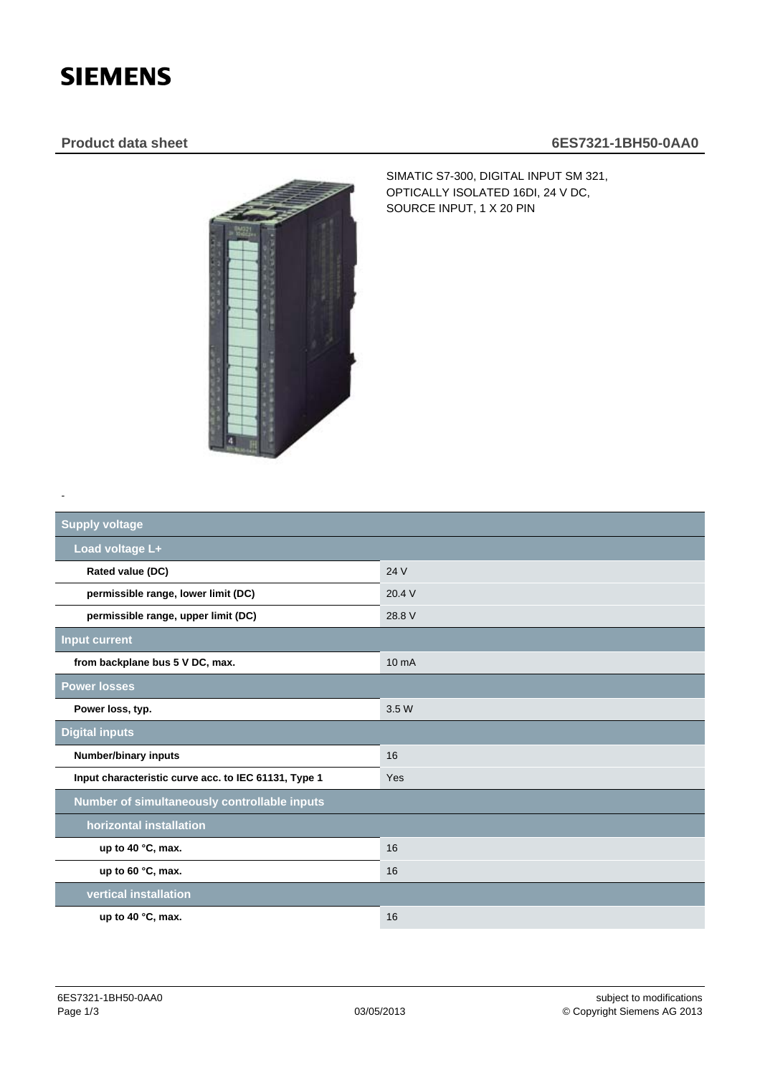## **SIEMENS**

-

## **Product data sheet 6ES7321-1BH50-0AA0**



SIMATIC S7-300, DIGITAL INPUT SM 321, OPTICALLY ISOLATED 16DI, 24 V DC, SOURCE INPUT, 1 X 20 PIN

| <b>Supply voltage</b>                                |                   |
|------------------------------------------------------|-------------------|
| Load voltage L+                                      |                   |
| Rated value (DC)                                     | 24 V              |
| permissible range, lower limit (DC)                  | 20.4V             |
| permissible range, upper limit (DC)                  | 28.8 V            |
| <b>Input current</b>                                 |                   |
| from backplane bus 5 V DC, max.                      | 10 <sub>m</sub> A |
| <b>Power losses</b>                                  |                   |
| Power loss, typ.                                     | 3.5 W             |
| <b>Digital inputs</b>                                |                   |
| <b>Number/binary inputs</b>                          | 16                |
| Input characteristic curve acc. to IEC 61131, Type 1 | Yes               |
| Number of simultaneously controllable inputs         |                   |
| horizontal installation                              |                   |
| up to 40 °C, max.                                    | 16                |
| up to 60 °C, max.                                    | 16                |
| vertical installation                                |                   |
| up to 40 $°C$ , max.                                 | 16                |
|                                                      |                   |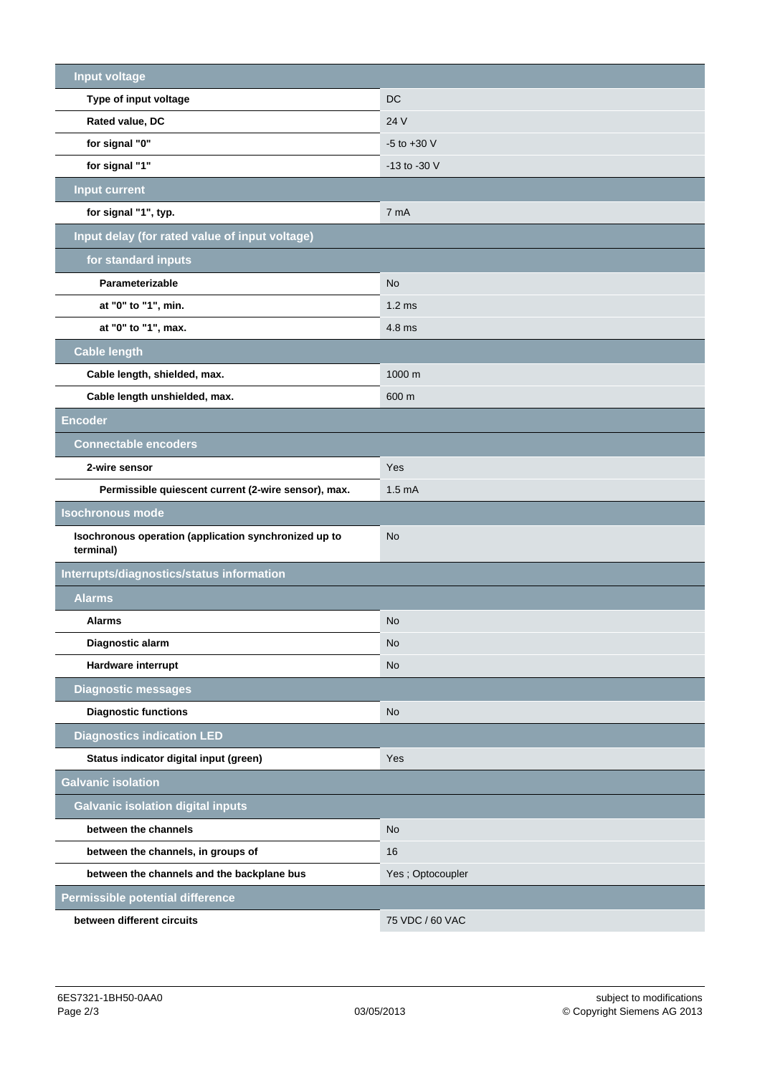| <b>Input voltage</b>                                               |                   |
|--------------------------------------------------------------------|-------------------|
| Type of input voltage                                              | <b>DC</b>         |
| Rated value, DC                                                    | 24 V              |
| for signal "0"                                                     | $-5$ to $+30$ V   |
| for signal "1"                                                     | -13 to -30 V      |
| <b>Input current</b>                                               |                   |
| for signal "1", typ.                                               | 7 mA              |
| Input delay (for rated value of input voltage)                     |                   |
| for standard inputs                                                |                   |
| Parameterizable                                                    | <b>No</b>         |
| at "0" to "1", min.                                                | 1.2 <sub>ms</sub> |
| at "0" to "1", max.                                                | 4.8 ms            |
| <b>Cable length</b>                                                |                   |
| Cable length, shielded, max.                                       | 1000 m            |
| Cable length unshielded, max.                                      | 600 m             |
| <b>Encoder</b>                                                     |                   |
| <b>Connectable encoders</b>                                        |                   |
| 2-wire sensor                                                      | Yes               |
| Permissible quiescent current (2-wire sensor), max.                | 1.5 <sub>mA</sub> |
| <b>Isochronous mode</b>                                            |                   |
| Isochronous operation (application synchronized up to<br>terminal) | <b>No</b>         |
| Interrupts/diagnostics/status information                          |                   |
| <b>Alarms</b>                                                      |                   |
| <b>Alarms</b>                                                      | <b>No</b>         |
| Diagnostic alarm                                                   | <b>No</b>         |
| Hardware interrupt                                                 | <b>No</b>         |
| <b>Diagnostic messages</b>                                         |                   |
| <b>Diagnostic functions</b>                                        | <b>No</b>         |
| <b>Diagnostics indication LED</b>                                  |                   |
| Status indicator digital input (green)                             | Yes               |
| <b>Galvanic isolation</b>                                          |                   |
| <b>Galvanic isolation digital inputs</b>                           |                   |
| between the channels                                               | <b>No</b>         |
| between the channels, in groups of                                 | 16                |
| between the channels and the backplane bus                         | Yes; Optocoupler  |
| <b>Permissible potential difference</b>                            |                   |
| between different circuits                                         | 75 VDC / 60 VAC   |